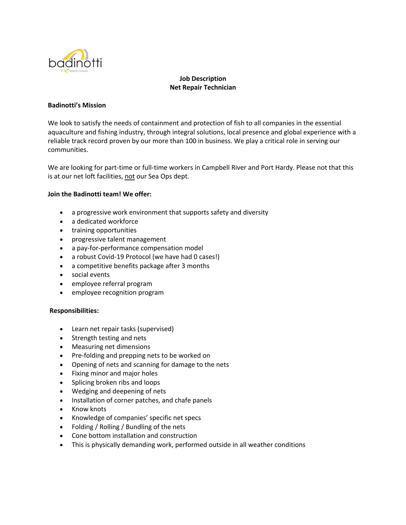

# **Job Description Net Repair Technician**

### **Badinotti's Mission**

We look to satisfy the needs of containment and protection of fish to all companies in the essential aquaculture and fishing industry, through integral solutions, local presence and global experience with a reliable track record proven by our more than 100 in business. We play a critical role in serving our communities.

We are looking for part-time or full-time workers in Campbell River and Port Hardy. Please not that this is at our net loft facilities, not our Sea Ops dept.

### **Join the Badinotti team! We offer:**

- a progressive work environment that supports safety and diversity
- a dedicated workforce
- training opportunities
- progressive talent management
- a pay-for-performance compensation model
- a robust Covid-19 Protocol (we have had 0 cases!)
- a competitive benefits package after 3 months
- social events
- employee referral program
- employee recognition program

#### **Responsibilities:**

- Learn net repair tasks (supervised)
- Strength testing and nets
- Measuring net dimensions
- Pre-folding and prepping nets to be worked on
- Opening of nets and scanning for damage to the nets
- Fixing minor and major holes
- Splicing broken ribs and loops
- Wedging and deepening of nets
- Installation of corner patches, and chafe panels
- Know knots
- Knowledge of companies' specific net specs
- Folding / Rolling / Bundling of the nets
- Cone bottom installation and construction
- This is physically demanding work, performed outside in all weather conditions